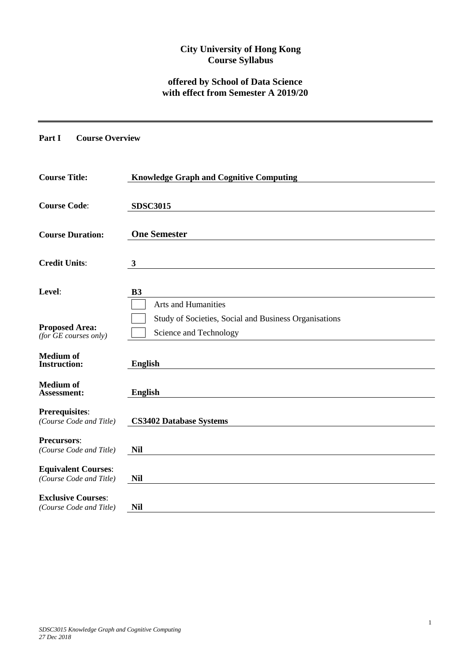## **City University of Hong Kong Course Syllabus**

# **offered by School of Data Science with effect from Semester A 2019/20**

**Part I Course Overview**

| <b>Course Title:</b>                                  | <b>Knowledge Graph and Cognitive Computing</b>                                  |
|-------------------------------------------------------|---------------------------------------------------------------------------------|
| <b>Course Code:</b>                                   | <b>SDSC3015</b>                                                                 |
| <b>Course Duration:</b>                               | <b>One Semester</b>                                                             |
| <b>Credit Units:</b>                                  | $\boldsymbol{3}$                                                                |
| Level:                                                | <b>B3</b><br><b>Arts and Humanities</b>                                         |
| <b>Proposed Area:</b><br>(for GE courses only)        | Study of Societies, Social and Business Organisations<br>Science and Technology |
| <b>Medium of</b><br><b>Instruction:</b>               | <b>English</b>                                                                  |
| <b>Medium of</b><br><b>Assessment:</b>                | <b>English</b>                                                                  |
| <b>Prerequisites:</b><br>(Course Code and Title)      | <b>CS3402 Database Systems</b>                                                  |
| <b>Precursors:</b><br>(Course Code and Title)         | <b>Nil</b>                                                                      |
| <b>Equivalent Courses:</b><br>(Course Code and Title) | <b>Nil</b>                                                                      |
| <b>Exclusive Courses:</b><br>(Course Code and Title)  | <b>Nil</b>                                                                      |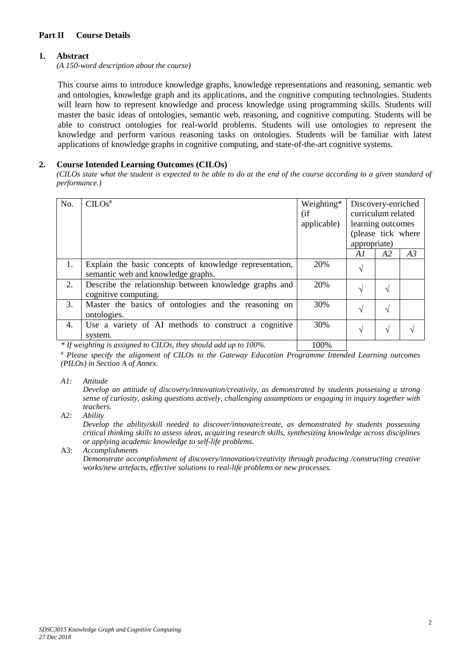### **Part II Course Details**

#### **1. Abstract**

*(A 150-word description about the course)*

This course aims to introduce knowledge graphs, knowledge representations and reasoning, semantic web and ontologies, knowledge graph and its applications, and the cognitive computing technologies. Students will learn how to represent knowledge and process knowledge using programming skills. Students will master the basic ideas of ontologies, semantic web, reasoning, and cognitive computing. Students will be able to construct ontologies for real-world problems. Students will use ontologies to represent the knowledge and perform various reasoning tasks on ontologies. Students will be familiar with latest applications of knowledge graphs in cognitive computing, and state-of-the-art cognitive systems.

#### **2. Course Intended Learning Outcomes (CILOs)**

*(CILOs state what the student is expected to be able to do at the end of the course according to a given standard of performance.)*

| No. | $CLOS$ <sup>#</sup>                                                                           | Weighting*<br>(i f)<br>applicable) | Discovery-enriched<br>curriculum related<br>learning outcomes<br>(please tick where<br>appropriate) |            |    |
|-----|-----------------------------------------------------------------------------------------------|------------------------------------|-----------------------------------------------------------------------------------------------------|------------|----|
|     |                                                                                               |                                    | A1                                                                                                  | A2         | A3 |
| 1.  | Explain the basic concepts of knowledge representation,<br>semantic web and knowledge graphs. | 20%                                | N                                                                                                   |            |    |
| 2.  | Describe the relationship between knowledge graphs and<br>cognitive computing.                | 20%                                | اد                                                                                                  | V          |    |
| 3.  | Master the basics of ontologies and the reasoning on<br>ontologies.                           | 30%                                | N                                                                                                   | V          |    |
| 4.  | Use a variety of AI methods to construct a cognitive<br>system.                               | 30%                                | V                                                                                                   | $\sqrt{ }$ |    |

*\* If weighting is assigned to CILOs, they should add up to 100%.* 100%

*# Please specify the alignment of CILOs to the Gateway Education Programme Intended Learning outcomes (PILOs) in Section A of Annex.* 

*A1: Attitude* 

*Develop an attitude of discovery/innovation/creativity, as demonstrated by students possessing a strong sense of curiosity, asking questions actively, challenging assumptions or engaging in inquiry together with teachers.*

*A2: Ability*

*Develop the ability/skill needed to discover/innovate/create, as demonstrated by students possessing critical thinking skills to assess ideas, acquiring research skills, synthesizing knowledge across disciplines or applying academic knowledge to self-life problems.*

A3: *Accomplishments*

*Demonstrate accomplishment of discovery/innovation/creativity through producing /constructing creative works/new artefacts, effective solutions to real-life problems or new processes.*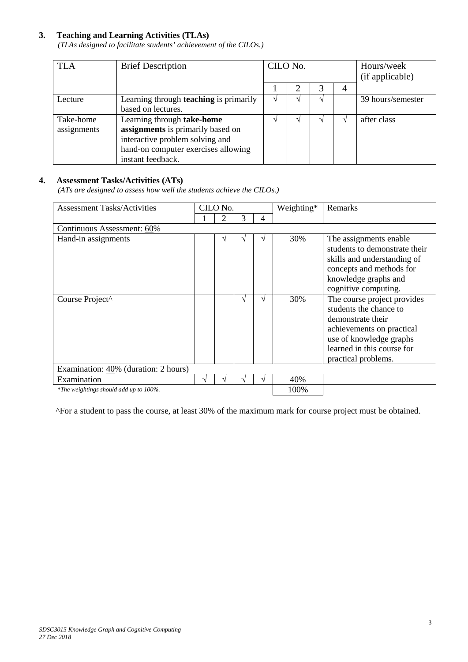### **3. Teaching and Learning Activities (TLAs)**

*(TLAs designed to facilitate students' achievement of the CILOs.)*

| <b>TLA</b>  | <b>Brief Description</b>                      | CILO No. |  |  | Hours/week<br>(if applicable) |                   |
|-------------|-----------------------------------------------|----------|--|--|-------------------------------|-------------------|
|             |                                               |          |  |  | 4                             |                   |
| Lecture     | Learning through <b>teaching</b> is primarily |          |  |  |                               | 39 hours/semester |
|             | based on lectures.                            |          |  |  |                               |                   |
| Take-home   | Learning through take-home                    |          |  |  |                               | after class       |
| assignments | assignments is primarily based on             |          |  |  |                               |                   |
|             | interactive problem solving and               |          |  |  |                               |                   |
|             | hand-on computer exercises allowing           |          |  |  |                               |                   |
|             | instant feedback.                             |          |  |  |                               |                   |

### **4. Assessment Tasks/Activities (ATs)**

*(ATs are designed to assess how well the students achieve the CILOs.)*

| <b>Assessment Tasks/Activities</b>     |      | CILO No. |   |   | Weighting* | Remarks                                                                                                                                                                                 |  |
|----------------------------------------|------|----------|---|---|------------|-----------------------------------------------------------------------------------------------------------------------------------------------------------------------------------------|--|
|                                        |      | 2        | 3 | 4 |            |                                                                                                                                                                                         |  |
| Continuous Assessment: 60%             |      |          |   |   |            |                                                                                                                                                                                         |  |
| Hand-in assignments                    |      |          | ٦ |   | 30%        | The assignments enable<br>students to demonstrate their<br>skills and understanding of<br>concepts and methods for<br>knowledge graphs and<br>cognitive computing.                      |  |
| Course Project^                        |      |          | ٦ |   | 30%        | The course project provides<br>students the chance to<br>demonstrate their<br>achievements on practical<br>use of knowledge graphs<br>learned in this course for<br>practical problems. |  |
| Examination: 40% (duration: 2 hours)   |      |          |   |   |            |                                                                                                                                                                                         |  |
| Examination                            |      |          |   |   | 40%        |                                                                                                                                                                                         |  |
| *The weightings should add up to 100%. | 100% |          |   |   |            |                                                                                                                                                                                         |  |

^For a student to pass the course, at least 30% of the maximum mark for course project must be obtained.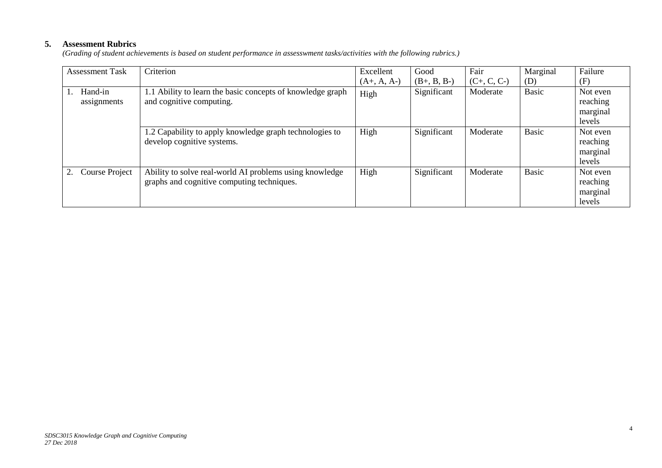## **5. Assessment Rubrics**

*(Grading of student achievements is based on student performance in assesswment tasks/activities with the following rubrics.)*

| <b>Assessment Task</b> | Criterion                                                                                             | Excellent     | Good          | Fair          | Marginal     | Failure                                    |
|------------------------|-------------------------------------------------------------------------------------------------------|---------------|---------------|---------------|--------------|--------------------------------------------|
|                        |                                                                                                       | $(A+, A, A-)$ | $(B+, B, B-)$ | $(C+, C, C-)$ | (D)          | (F)                                        |
| Hand-in<br>assignments | 1.1 Ability to learn the basic concepts of knowledge graph<br>and cognitive computing.                | High          | Significant   | Moderate      | <b>Basic</b> | Not even<br>reaching<br>marginal<br>levels |
|                        | 1.2 Capability to apply knowledge graph technologies to<br>develop cognitive systems.                 | High          | Significant   | Moderate      | <b>Basic</b> | Not even<br>reaching<br>marginal<br>levels |
| Course Project         | Ability to solve real-world AI problems using knowledge<br>graphs and cognitive computing techniques. | High          | Significant   | Moderate      | <b>Basic</b> | Not even<br>reaching<br>marginal<br>levels |